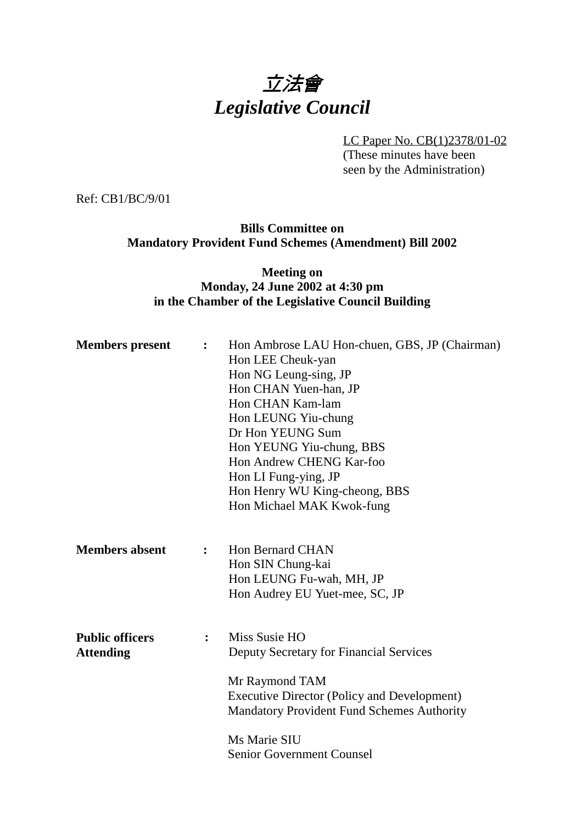# 立法會 *Legislative Council*

LC Paper No. CB(1)2378/01-02 (These minutes have been seen by the Administration)

Ref: CB1/BC/9/01

#### **Bills Committee on Mandatory Provident Fund Schemes (Amendment) Bill 2002**

#### **Meeting on Monday, 24 June 2002 at 4:30 pm in the Chamber of the Legislative Council Building**

| <b>Members</b> present                     | $\ddot{\cdot}$ | Hon Ambrose LAU Hon-chuen, GBS, JP (Chairman)<br>Hon LEE Cheuk-yan<br>Hon NG Leung-sing, JP<br>Hon CHAN Yuen-han, JP<br>Hon CHAN Kam-lam<br>Hon LEUNG Yiu-chung<br>Dr Hon YEUNG Sum<br>Hon YEUNG Yiu-chung, BBS<br>Hon Andrew CHENG Kar-foo<br>Hon LI Fung-ying, JP<br>Hon Henry WU King-cheong, BBS<br>Hon Michael MAK Kwok-fung |
|--------------------------------------------|----------------|-----------------------------------------------------------------------------------------------------------------------------------------------------------------------------------------------------------------------------------------------------------------------------------------------------------------------------------|
| <b>Members absent</b>                      | $\ddot{\cdot}$ | <b>Hon Bernard CHAN</b><br>Hon SIN Chung-kai<br>Hon LEUNG Fu-wah, MH, JP<br>Hon Audrey EU Yuet-mee, SC, JP                                                                                                                                                                                                                        |
| <b>Public officers</b><br><b>Attending</b> | $\ddot{\cdot}$ | Miss Susie HO<br>Deputy Secretary for Financial Services<br>Mr Raymond TAM<br><b>Executive Director (Policy and Development)</b><br><b>Mandatory Provident Fund Schemes Authority</b><br>Ms Marie SIU<br><b>Senior Government Counsel</b>                                                                                         |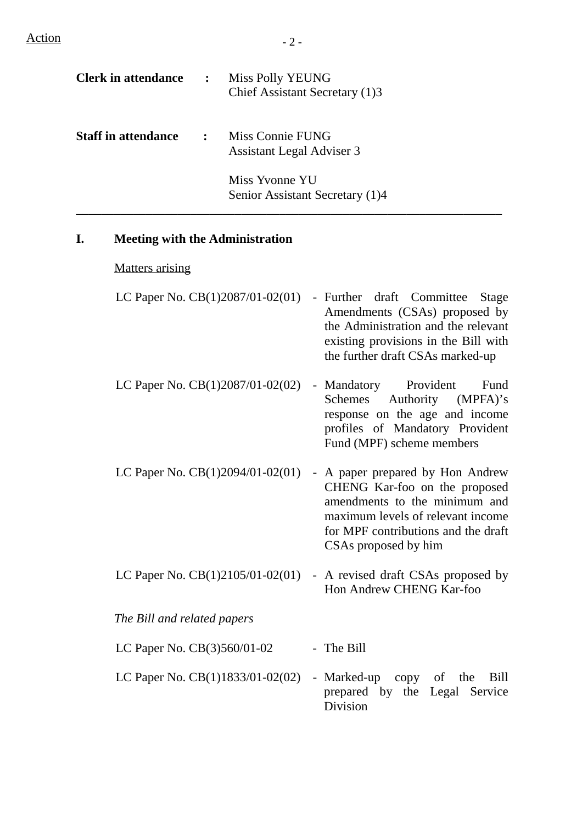$Action$   $-2 -$ 

| <b>Clerk in attendance</b> | $\ddot{\cdot}$                      | Miss Polly YEUNG<br>Chief Assistant Secretary (1)3   |
|----------------------------|-------------------------------------|------------------------------------------------------|
| <b>Staff in attendance</b> | $\mathbb{R}^2$ . The $\mathbb{R}^2$ | Miss Connie FUNG<br><b>Assistant Legal Adviser 3</b> |
|                            |                                     | Miss Yvonne YU<br>Senior Assistant Secretary (1)4    |

#### **I. Meeting with the Administration**

Matters arising

| LC Paper No. $CB(1)2087/01-02(01)$ - Further draft Committee Stage |
|--------------------------------------------------------------------|
| Amendments (CSAs) proposed by                                      |
| the Administration and the relevant                                |
| existing provisions in the Bill with                               |
| the further draft CSAs marked-up                                   |
|                                                                    |

LC Paper No. CB(1)2087/01-02(02) - Mandatory Provident Fund Schemes Authority (MPFA)'s response on the age and income profiles of Mandatory Provident Fund (MPF) scheme members

- LC Paper No. CB(1)2094/01-02(01) A paper prepared by Hon Andrew CHENG Kar-foo on the proposed amendments to the minimum and maximum levels of relevant income for MPF contributions and the draft CSAs proposed by him
- LC Paper No.  $CB(1)2105/01-02(01)$  A revised draft CSAs proposed by Hon Andrew CHENG Kar-foo

*The Bill and related papers*

LC Paper No. CB(3)560/01-02 - The Bill

LC Paper No. CB(1)1833/01-02(02) - Marked-up copy of the Bill prepared by the Legal Service Division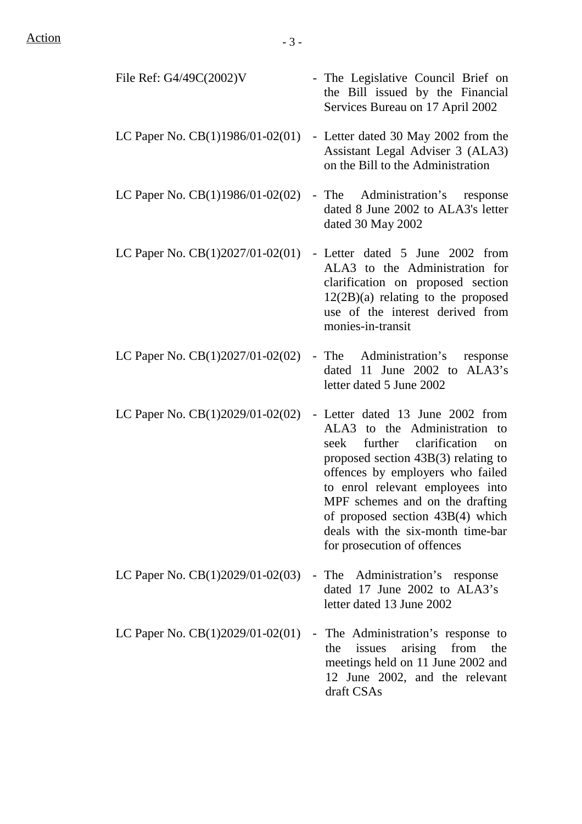$Action - 3 -$ 

| File Ref: G4/49C(2002)V            | - The Legislative Council Brief on<br>the Bill issued by the Financial<br>Services Bureau on 17 April 2002                                                                                                                                                                                                                                                                            |
|------------------------------------|---------------------------------------------------------------------------------------------------------------------------------------------------------------------------------------------------------------------------------------------------------------------------------------------------------------------------------------------------------------------------------------|
| LC Paper No. CB(1)1986/01-02(01)   | - Letter dated 30 May 2002 from the<br>Assistant Legal Adviser 3 (ALA3)<br>on the Bill to the Administration                                                                                                                                                                                                                                                                          |
| LC Paper No. CB(1)1986/01-02(02)   | Administration's response<br>- The<br>dated 8 June 2002 to ALA3's letter<br>dated 30 May 2002                                                                                                                                                                                                                                                                                         |
| LC Paper No. CB(1)2027/01-02(01)   | - Letter dated 5 June 2002 from<br>ALA3 to the Administration for<br>clarification on proposed section<br>$12(2B)(a)$ relating to the proposed<br>use of the interest derived from<br>monies-in-transit                                                                                                                                                                               |
| LC Paper No. $CB(1)2027/01-02(02)$ | - The Administration's<br>response<br>dated 11 June 2002 to ALA3's<br>letter dated 5 June 2002                                                                                                                                                                                                                                                                                        |
| LC Paper No. CB(1)2029/01-02(02)   | - Letter dated 13 June 2002 from<br>to the Administration<br>ALA3<br>to<br>further clarification<br>seek<br><sub>on</sub><br>proposed section $43B(3)$ relating to<br>offences by employers who failed<br>to enrol relevant employees into<br>MPF schemes and on the drafting<br>of proposed section 43B(4) which<br>deals with the six-month time-bar<br>for prosecution of offences |
| LC Paper No. CB(1)2029/01-02(03)   | - The Administration's response<br>dated 17 June 2002 to ALA3's<br>letter dated 13 June 2002                                                                                                                                                                                                                                                                                          |
| LC Paper No. CB(1)2029/01-02(01)   | The Administration's response to<br>$\blacksquare$<br>arising from<br>issues<br>the<br>the<br>meetings held on 11 June 2002 and<br>12 June 2002, and the relevant<br>draft CSAs                                                                                                                                                                                                       |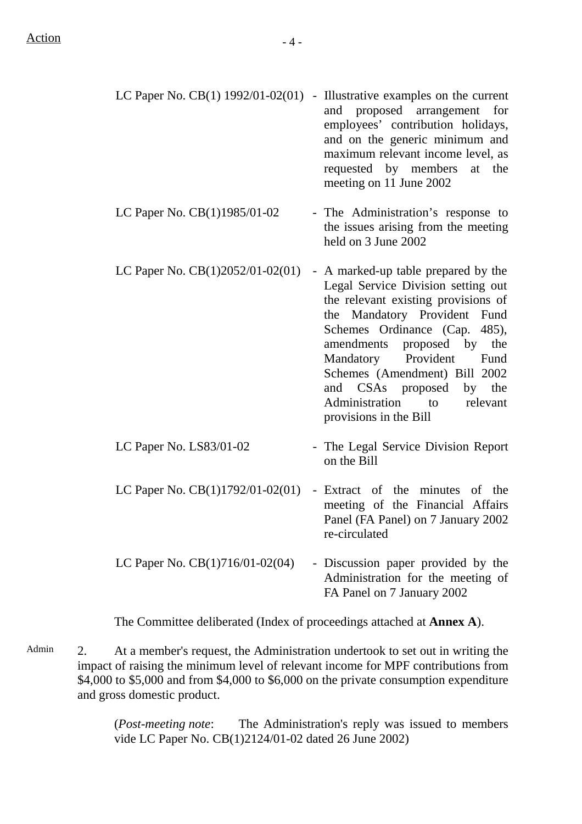|                                                         | LC Paper No. $CB(1)$ 1992/01-02(01) - Illustrative examples on the current |
|---------------------------------------------------------|----------------------------------------------------------------------------|
|                                                         | and proposed arrangement for                                               |
|                                                         | employees' contribution holidays,                                          |
|                                                         | and on the generic minimum and                                             |
|                                                         | maximum relevant income level, as                                          |
|                                                         | requested by members at the                                                |
|                                                         | meeting on 11 June 2002                                                    |
| $I \cap D_{\text{mean}} M_{\text{e}}$ $CD(1)1005/01/02$ | $\mathbf{Th}_{\mathbf{a}}$ Administration, $\alpha$ means and $\alpha$     |
|                                                         |                                                                            |

- LC Paper No.  $CB(1)1985/01-02$  The Administration's response to the issues arising from the meeting held on 3 June 2002
- LC Paper No.  $CB(1)2052/01-02(01)$  A marked-up table prepared by the Legal Service Division setting out the relevant existing provisions of the Mandatory Provident Fund Schemes Ordinance (Cap. 485), amendments proposed by the Mandatory Provident Fund Schemes (Amendment) Bill 2002 and CSAs proposed by the Administration to relevant provisions in the Bill
- LC Paper No. LS83/01-02 The Legal Service Division Report on the Bill
- LC Paper No. CB(1)1792/01-02(01) Extract of the minutes of the meeting of the Financial Affairs Panel (FA Panel) on 7 January 2002 re-circulated
- LC Paper No. CB(1)716/01-02(04) Discussion paper provided by the Administration for the meeting of FA Panel on 7 January 2002

The Committee deliberated (Index of proceedings attached at **Annex A**).

Admin 2. At a member's request, the Administration undertook to set out in writing the impact of raising the minimum level of relevant income for MPF contributions from \$4,000 to \$5,000 and from \$4,000 to \$6,000 on the private consumption expenditure and gross domestic product.

> (*Post-meeting note*: The Administration's reply was issued to members vide LC Paper No. CB(1)2124/01-02 dated 26 June 2002)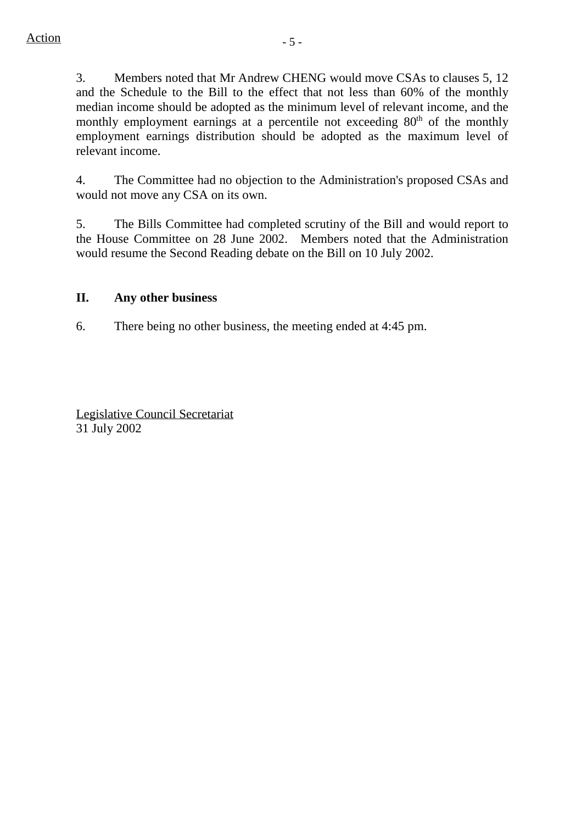3. Members noted that Mr Andrew CHENG would move CSAs to clauses 5, 12 and the Schedule to the Bill to the effect that not less than 60% of the monthly median income should be adopted as the minimum level of relevant income, and the monthly employment earnings at a percentile not exceeding  $80<sup>th</sup>$  of the monthly employment earnings distribution should be adopted as the maximum level of relevant income.

4. The Committee had no objection to the Administration's proposed CSAs and would not move any CSA on its own.

5. The Bills Committee had completed scrutiny of the Bill and would report to the House Committee on 28 June 2002. Members noted that the Administration would resume the Second Reading debate on the Bill on 10 July 2002.

### **II. Any other business**

6. There being no other business, the meeting ended at 4:45 pm.

Legislative Council Secretariat 31 July 2002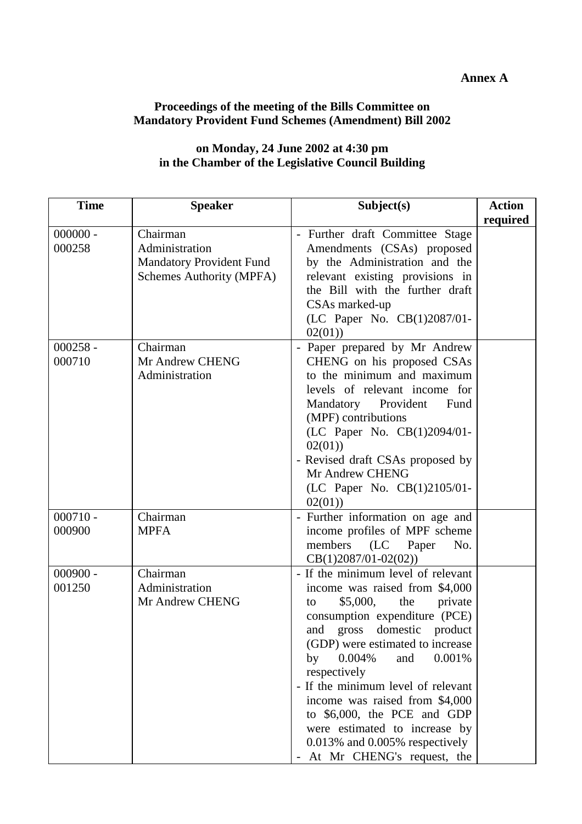#### **Annex A**

## **Proceedings of the meeting of the Bills Committee on Mandatory Provident Fund Schemes (Amendment) Bill 2002**

| <b>Time</b>          | <b>Speaker</b>                                                                            | Subject(s)                                                                                                                                                                                                                                                                                                                                                                                                                                                                       | <b>Action</b><br>required |
|----------------------|-------------------------------------------------------------------------------------------|----------------------------------------------------------------------------------------------------------------------------------------------------------------------------------------------------------------------------------------------------------------------------------------------------------------------------------------------------------------------------------------------------------------------------------------------------------------------------------|---------------------------|
| $000000 -$<br>000258 | Chairman<br>Administration<br><b>Mandatory Provident Fund</b><br>Schemes Authority (MPFA) | - Further draft Committee Stage<br>Amendments (CSAs) proposed<br>by the Administration and the<br>relevant existing provisions in<br>the Bill with the further draft<br>CSAs marked-up<br>(LC Paper No. CB(1)2087/01-<br>02(01)                                                                                                                                                                                                                                                  |                           |
| $000258 -$<br>000710 | Chairman<br>Mr Andrew CHENG<br>Administration                                             | - Paper prepared by Mr Andrew<br>CHENG on his proposed CSAs<br>to the minimum and maximum<br>levels of relevant income for<br>Fund<br>Mandatory Provident<br>(MPF) contributions<br>(LC Paper No. CB(1)2094/01-<br>02(01)<br>- Revised draft CSAs proposed by<br>Mr Andrew CHENG<br>(LC Paper No. CB(1)2105/01-<br>02(01)                                                                                                                                                        |                           |
| $000710 -$<br>000900 | Chairman<br><b>MPFA</b>                                                                   | - Further information on age and<br>income profiles of MPF scheme<br>members<br>(LC)<br>No.<br>Paper<br>$CB(1)2087/01-02(02))$                                                                                                                                                                                                                                                                                                                                                   |                           |
| $000900 -$<br>001250 | Chairman<br>Administration<br>Mr Andrew CHENG                                             | - If the minimum level of relevant<br>income was raised from \$4,000<br>\$5,000,<br>the<br>private<br>to<br>consumption expenditure (PCE)<br>gross domestic<br>and<br>product<br>(GDP) were estimated to increase<br>0.004%<br>0.001%<br>and<br>by<br>respectively<br>- If the minimum level of relevant<br>income was raised from \$4,000<br>to \$6,000, the PCE and GDP<br>were estimated to increase by<br>$0.013\%$ and $0.005\%$ respectively<br>At Mr CHENG's request, the |                           |

#### **on Monday, 24 June 2002 at 4:30 pm in the Chamber of the Legislative Council Building**